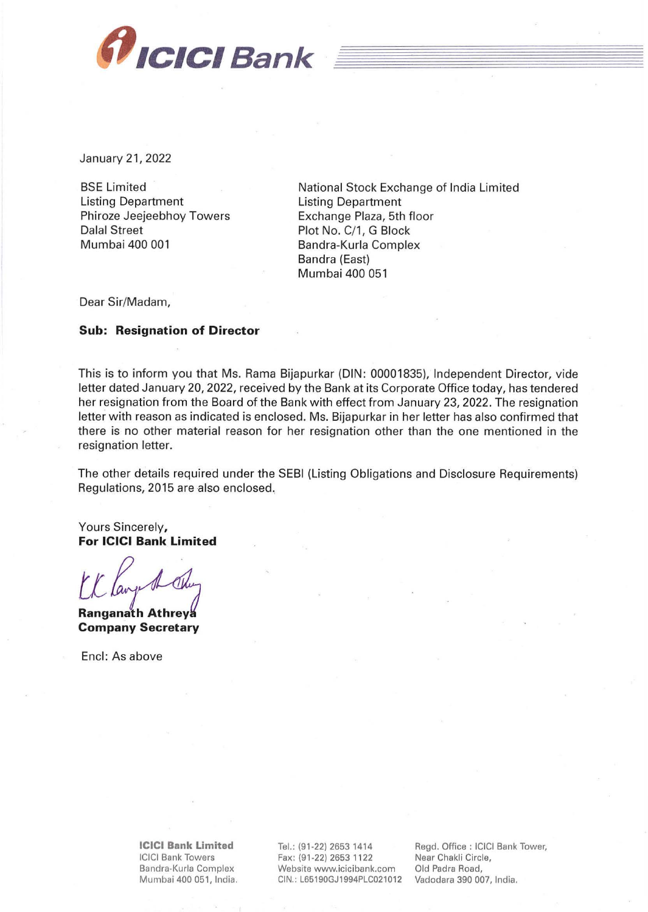

January 21, 2022

BSE Limited Listing Department Phiroze Jeejeebhoy Towers Dalal Street Mumbai 400 001

National Stock Exchange of India Limited Listing Department Exchange Plaza, 5th floor Plot No. C/1, G Block Bandra-Kurla Complex Sandra (East) Mumbai 400 051

Dear Sir/Madam,

## **Sub: Resignation of Director**

This is to inform you that Ms. Rama Bijapurkar (DIN: 00001835), Independent Director, vide letter dated January 20, 2022, received by the Bank at its Corporate Office today, has tendered her resignation from the Board of the Bank with effect from January 23, 2022. The resignation letter with reason as indicated is enclosed. Ms. Bijapurkar in her letter has also confirmed that there is no other material reason for her resignation other than the one mentioned in the resignation letter.

The other details required under the SEBI (Listing Obligations and Disclosure Requirements) Regulations, 2015 are also enclosed.

Yours Sincerely, **For ICICI Bank Limited** 

Ranganath Athreya **Company Secretary** 

Encl: As above

**ICICI Bank Limited**  ICICI Bank Towers Bandra-Kurla Complex Mumbai 400 051, India.

Tel.: (91 -22) 2653 1414 Fax: (91-22) 2653 1122 Website www.icicibank.com CIN.: L65190GJ1994PLC021012

Regd. Office : ICICI Bank Tower, Near Chakli Circle, Old Padra Road, Vadodara 390 007, India.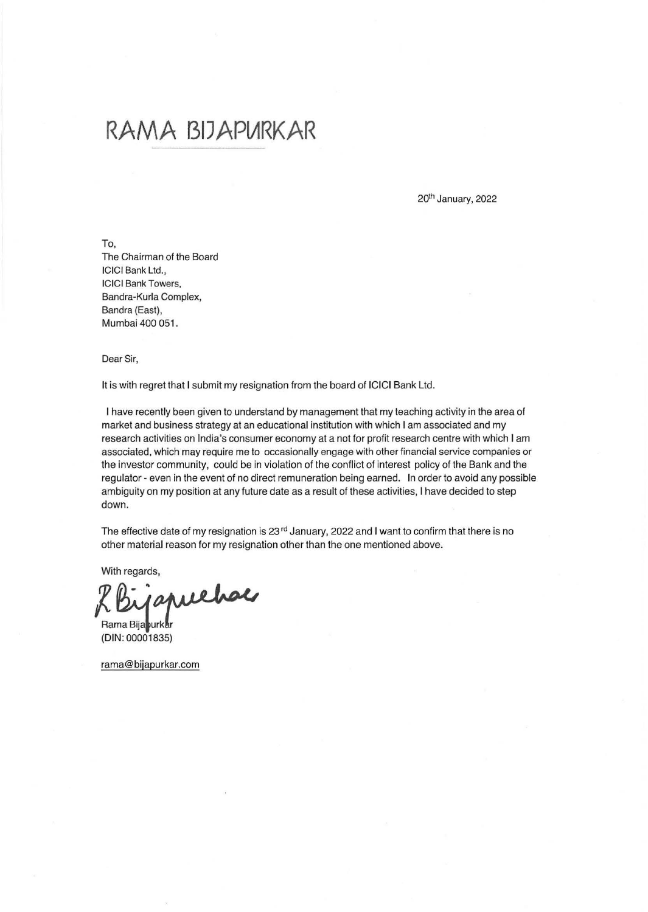## **RAMA BIJAPlARKAR**

20<sup>th</sup> January, 2022

To, The Chairman of the Board ICICI Bank Ltd., ICICI Bank Towers, Bandra-Kurla Complex, Bandra (East), Mumbai 400 051.

Dear Sir,

It is with regret that I submit my resignation from the board of ICICI Bank Ltd.

I have recently been given to understand by management that my teaching activity in the area of market and business strategy at an educational institution with which I am associated and my research activities on India's consumer economy at a not for profit research centre with which I am associated, which may require me to occasionally engage with other financial service companies or the investor community, could be in violation of the conflict of interest policy of the Bank and the regulator- even in the event of no direct remuneration being earned. In order to avoid any possible ambiguity on my position at any future date as a result of these activities, I have decided to step down.

The effective date of my resignation is 23<sup>rd</sup> January, 2022 and I want to confirm that there is no other material reason for my resignation other than the one mentioned above.

With regards,

japuehae

Rama Bija purkar (DIN: 00001835)

rama@bijapurkar.com